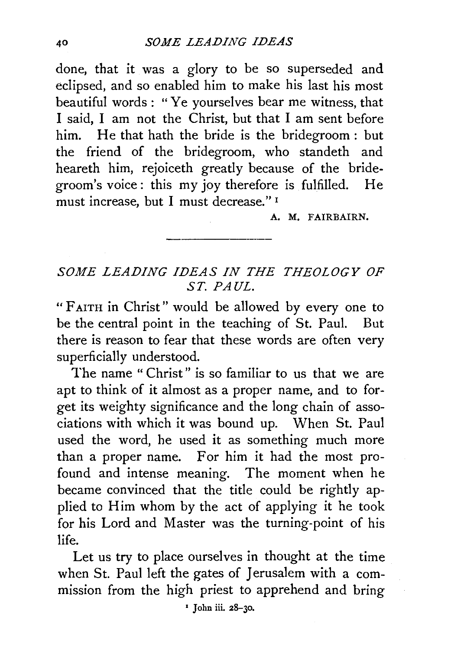done, that it was a glory to be so superseded and eclipsed, and so enabled him to make his last his most beautiful words : "Ye yourselves bear me witness, that I said, I am not the Christ, but that I am sent before him. He that hath the bride is the bridegroom : but the friend of the bridegroom, who standeth and heareth him, rejoiceth greatly because of the bridegroom's voice : this my joy therefore is fulfilled. He must increase, but I must decrease." 1

A. M. FAIRBAIRN.

## *SOME LEADING IDEAS IN THE THEOLOGY OF ST. PAUL.*

" FAITH in Christ " would be allowed by every one to be the central point in the teaching of St. Paul. But there is reason to fear that these words are often very superficially understood.

The name "Christ" is so familiar to us that we are apt to think of it almost as a proper name, and to forget its weighty significance and the long chain of associations with which it was bound up. When St. Paul used the word, he used it as something much more than a proper name. For him it had the most profound and intense meaning. The moment when he became convinced that the title could be rightly applied to Him whom by the act of applying it he took for his Lord and Master was the turning-point of his life.

Let us try to place ourselves in thought at the time when St. Paul left the gates of Jerusalem with a commission from the high priest to apprehend and bring

• John iii. 28-30.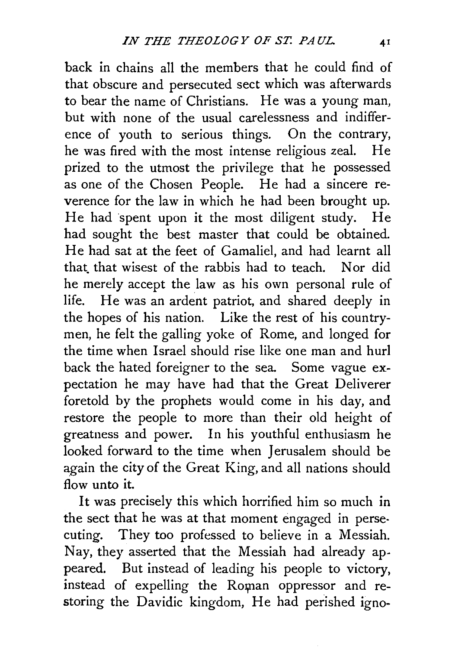back in chains all the members that he could find of that obscure and persecuted sect which was afterwards to bear the name of Christians. He was a young man, but with none of the usual carelessness and indifference of youth to serious things. On the contrary, he was fired with the most intense religious zeal. He prized to the utmost the privilege that he possessed as one of the Chosen People. He had a sincere reverence for the law in which he had been brought up. He had spent upon it the most diligent study. He had sought the best master that could be obtained. He had sat at the feet of Gamaliel, and had learnt all that. that wisest of the rabbis had to teach. Nor did he merely accept the law as his own personal rule of life. He was an ardent patriot, and shared deeply in the hopes of his nation. Like the rest of his countrymen, he felt the galling yoke of Rome, and longed for the time when Israel should rise like one man and hurl back the hated foreigner to the sea. Some vague expectation he may have had that the Great Deliverer foretold by the prophets would come in his day, and restore the people to more than their old height of greatness and power. In his youthful enthusiasm he looked forward to the time when Jerusalem should be again the city of the Great King, and all nations should flow unto it.

It was precisely this which horrified him so much in the sect that he was at that moment engaged in perse· cuting. They too professed to believe in a Messiah. Nay, they asserted that the Messiah had already appeared. But instead of leading his people to victory, instead of expelling the Roman oppressor and restoring the Davidic kingdom, He had perished igno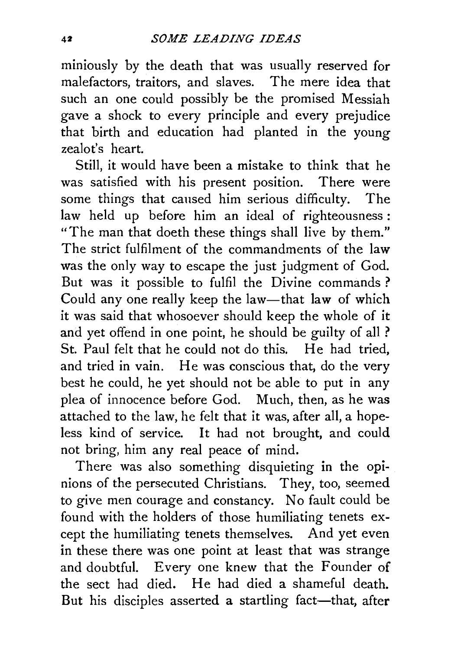miniously by the death that was usually reserved for malefactors, traitors, and slaves. The mere idea that such an one could possibly be the promised Messiah gave a shock to every principle and every prejudice that birth and education had planted in the young zealot's heart.

Still, it would have been a mistake to think that he was satisfied with his present position. There were some things that caused him serious difficulty. The law held up before him an ideal of righteousness : "The man that doeth these things shall live by them." The strict fulfilment of the commandments of the law was the only way to escape the just judgment of God. But was it possible to fulfil the Divine commands ? Could any one really keep the law-that law of which it was said that whosoever should keep the whole of it and yet offend in one point, he should be guilty of all ? St. Paul felt that he could not do this. He had tried, and tried in vain. He was conscious that, do the very best he could, he yet should not be able to put in any plea of innocence before God. Much, then, as he was attached to the law, he felt that it was, after all, a hopeless kind of service. It had not brought, and could not bring, him any real peace of mind.

There was also something disquieting in the opinions of the persecuted Christians. They, too, seemed to give men courage and constancy. No fault could be found with the holders of those humiliating tenets except the humiliating tenets themselves. And yet even in these there was one point at least that was strange and doubtful. Every one knew that the Founder of the sect had died. He had died a shameful death. But his disciples asserted a startling fact-that, after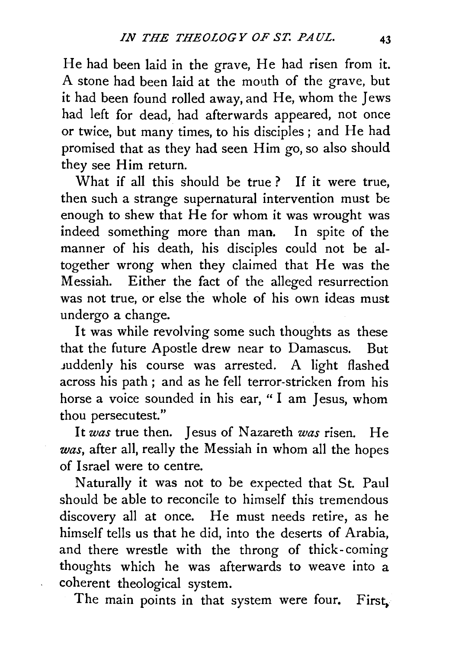He had been laid in the grave, He had risen from it. A stone had been laid at the mouth of the grave, but it had been found rolled away, and He, whom the Jews had left for dead, had afterwards appeared, not once or twice, but many times, to his disciples; and He had promised that as they had seen Him go, so also should they see Him return.

What if all this should be true? If it were true, then such a strange supernatural intervention must be enough to shew that He for whom it was wrought was indeed something more than man. In spite of the manner of his death, his disciples could not be altogether wrong when they claimed that He was the Messiah. Either the fact of the alleged resurrection was not true, or else the whole of his own ideas must undergo a change.

It was while revolving some such thoughts as these that the future Apostle drew near to Damascus. But Juddenly his course was arrested. A light flashed across his path ; and as he fell terror-stricken from his horse a voice sounded in his ear, " I am Jesus, whom thou persecutest."

It *was* true then. Jesus of Nazareth *was* risen. He *was,* after all, really the Messiah in whom all the hopes of Israel were to centre.

Naturally it was not to be expected that St. Paul should be able to reconcile to himself this tremendous discovery all at once. He must needs retire, as he himself tells us that he did, into the deserts of Arabia, and there wrestle with the throng of thick-coming thoughts which he was afterwards to weave into a coherent theological system.

The main points in that system were four. First,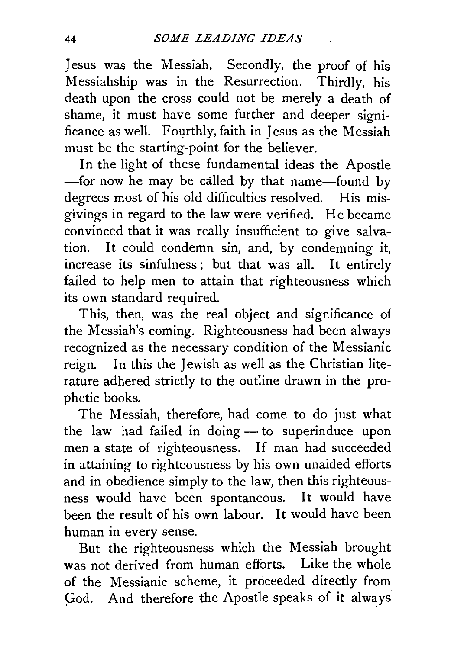Jesus was the Messiah. Secondly, the proof of his Messiahship was in the Resurrection, Thirdly, his death upon the cross could not be merely a death of shame, it must have some further and deeper significance as well. Fourthly, faith in Jesus as the Messiah must be the starting-point for the believer.

In the light of these fundamental ideas the Apostle -for now he may be called by that name-found by degrees most of his old difficulties resolved. His misgivings in regard to the law were verified. He became convinced that it was really insufficient to give salvation. It could condemn sin, and, by condemning it, increase its sinfulness; but that was all. It entirely failed to help men to attain that righteousness which its own standard required.

This, then, was the real object and significance of the Messiah's coming. Righteousness had been always recognized as the necessary condition of the Messianic reign. In this the Jewish as well as the Christian literature adhered strictly to the outline drawn in the prophetic books.

The Messiah, therefore, had come to do just what the law had failed in doing - to superinduce upon men a state of righteousness. If man had succeeded in attaining to righteousness by his own unaided efforts and in obedience simply to the law, then this righteousness would have been spontaneous. It would have been the result of his own labour. It would have been human in every sense.

But the righteousness which the Messiah brought was not derived from human efforts. Like the whole of the Messianic scheme, it proceeded directly from God. And therefore the Apostle speaks of it always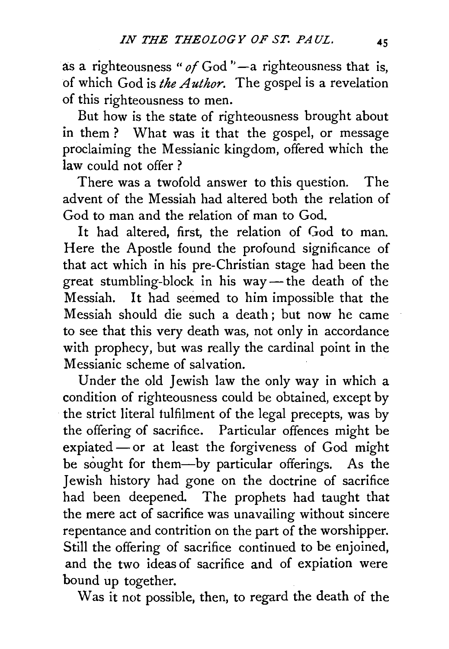as a righteousness " $of$  God" $-$ a righteousness that is, of which God is *the Author.* The gospel is a revelation of this righteousness to men.

But how is the state of righteousness brought about in them ? What was it that the gospel, or message proclaiming the Messianic kingdom, offered which the law could not offer ?

There was a twofold answer to this question. The advent of the Messiah had altered both the relation of God to man and the relation of man to God.

It had altered, first, the relation of God to man. Here the Apostle found the profound significance of that act which in his pre-Christian stage had been the great stumbling-block in his way-the death of the Messiah. It had seemed to him impossible that the Messiah should die such a death ; but now he came to see that this very death was, not only in accordance with prophecy, but was really the cardinal point in the Messianic scheme of salvation.

Under the old Jewish law the only way in which a condition of righteousness could be obtained, except by the strict literal fulfilment of the legal precepts, was by the offering of sacrifice. Particular offences might be expiated — or at least the forgiveness of God might be sought for them-by particular offerings. As the Jewish history had gone on the doctrine of sacrifice had been deepened. The prophets had taught that the mere act of sacrifice was unavailing without sincere repentance and contrition on the part of the worshipper. Still the offering of sacrifice continued to be enjoined, and the two ideas of sacrifice and of expiation were bound up together.

Was it not possible, then, to regard the death of the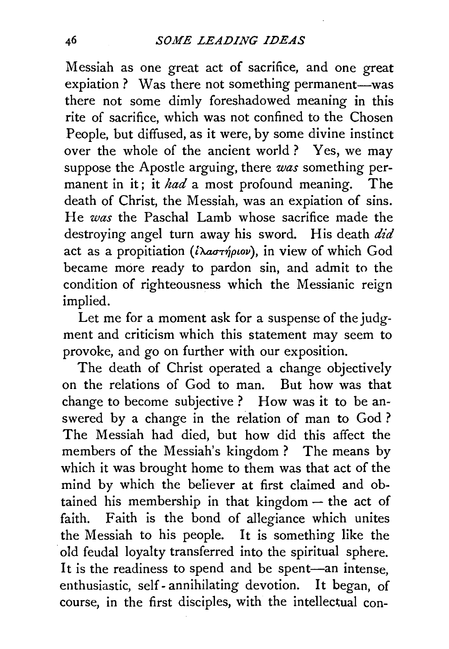Messiah as one great act of sacrifice, and one great expiation ? Was there not something permanent-was there not some dimly foreshadowed meaning in this rite of sacrifice, which was not confined to the Chosen People, but diffused, as it were, by some divine instinct over the whole of the ancient world ? Yes, we may suppose the Apostle arguing, there *was* something permanent in it ; it *had* a most profound meaning. The death of Christ, the Messiah, was an expiation of sins. He *was* the Paschal Lamb whose sacrifice made the destroying angel turn away his sword. His death *did*  act as a propitiation (*lλαστήριον*), in view of which God became more ready to pardon sin, and admit to the condition of righteousness which the Messianic reign implied.

Let me for a moment ask for a suspense of the judgment and criticism which this statement may seem to provoke, and go on further with our exposition.

The death of Christ operated a change objectively on the relations of God to man. But how was that change to become subjective? How was it to be answered by a change in the relation of man to God ? The Messiah had died, but how did this affect the members of the Messiah's kingdom? The means by which it was brought home to them was that act of the mind by which the believer at first claimed and obtained his membership in that kingdom  $-$  the act of faith. Faith is the bond of allegiance which unites the Messiah to his people. It is something like the old feudal loyalty transferred into the spiritual sphere. It is the readiness to spend and be spent-an intense, enthusiastic, self- annihilating devotion. It began, of course, in the first disciples, with the intellectual con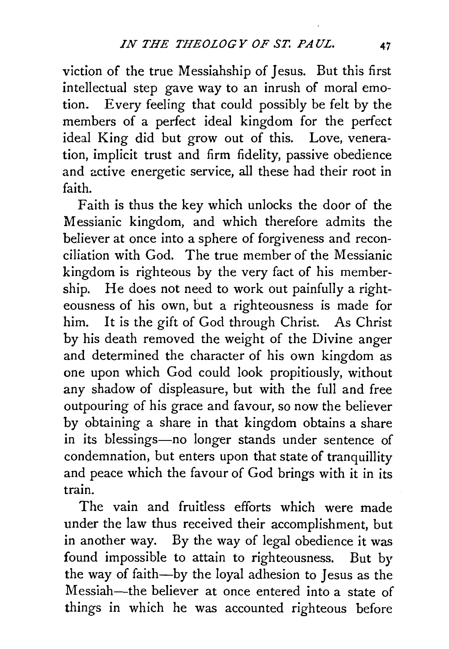viction of the true Messiahship of Jesus. But this first intellectual step gave way to an inrush of moral emotion. Every feeling that could possibly be felt by the members of a perfect ideal kingdom for the perfect ideal King did but grow out of this. Love, veneration, implicit trust and firm fidelity, passive obedience and active energetic service, all these had their root in faith.

Faith is thus the key which unlocks the door of the Messianic kingdom, and which therefore admits the believer at once into a sphere of forgiveness and reconciliation with God. The true member of the Messianic kingdom is righteous by the very fact of his membership. He does not need to work out painfully a righteousness of his own, but a righteousness is made for him. It is the gift of God through Christ. As Christ by his death removed the weight of the Divine anger and determined the character of his own kingdom as one upon which God could look propitiously, without any shadow of displeasure, but with the full and free outpouring of his grace and favour, so now the believer by obtaining a share in that kingdom obtains a share in its blessings-no longer stands under sentence of condemnation, but enters upon that state of tranquillity and peace which the favour of God brings with it in its train.

The vain and fruitless efforts which were made under the law thus received their accomplishment, but in another way. By the way of legal obedience it was found impossible to attain *to* righteousness. But by the way of faith-by the loyal adhesion to Jesus as the Messiah-the believer at once entered into a state of things in which he was accounted righteous before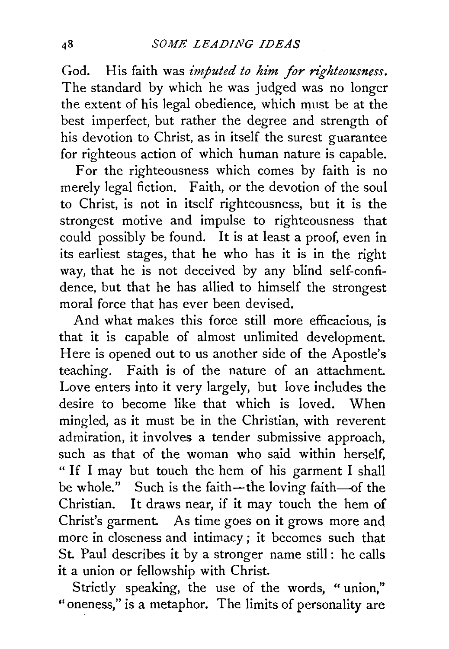God. His faith was *imputed to him for righteousness.*  The standard by which he was judged was no longer the extent of his legal obedience, which must be at the best imperfect, but rather the degree and strength of his devotion to Christ, as in itself the surest guarantee for righteous action of which human nature is capable.

For the righteousness which comes by faith is no merely legal fiction. Faith, or the devotion of the soul to Christ, is not in itself righteousness, but it is the strongest motive and impulse to righteousness that could possibly be found. It is at least a proof, even in its earliest stages, that he who has it is in the right way, that he is not deceived by any blind self-confidence, but that he has allied to himself the strongest moral force that has ever been devised.

And what makes this force still more efficacious, is that it is capable of almost unlimited development. Here is opened out to us another side of the Apostle's teaching. Faith is of the nature of an attachment. Love enters into it very largely, but love includes the desire to become like that which is loved. When mingled, as it must be in the Christian, with reverent admiration, it involves a tender submissive approach, such as that of the woman who said within herself, " If I may but touch the hem of his garment I shall be whole." Such is the faith-the loving faith-of the Christian. It draws near, if it may touch the hem of Christ's garment As time goes on it grows more and more in closeness and intimacy ; it becomes such that St. Paul describes it by a stronger name still : he calls it a union or fellowship with Christ.

Strictly speaking, the use of the words, " union," "oneness," is a metaphor. The limits of personality are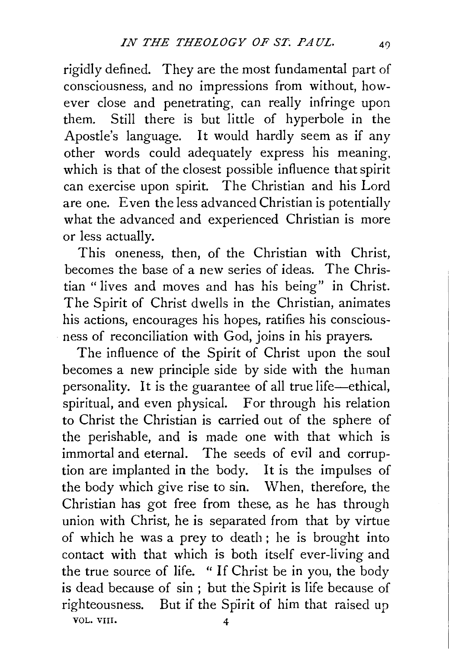rigidly defined. They are the most fundamental part of consciousness, and no impressions from without, however close and penetrating, can really infringe upon them. Still there is but little of hyperbole in the Apostle's language. It would hardly seem as if any other words could adequately express his meaning, which is that of the closest possible influence that spirit can exercise upon spirit. The Christian and his Lord are one. Even the less advanced Christian is potentially what the advanced and experienced Christian is more or less actually.

This oneness, then, of the Christian with Christ, becomes the base of a new series of ideas. The Christian " lives and moves and has his being" in Christ. The Spirit of Christ dwells in the Christian, animates his actions, encourages his hopes, ratifies his consciousness of reconciliation with God, joins in his prayers.

The influence of the Spirit of Christ upon the soul becomes a new principle side by side with the human personality. It is the guarantee of all true life-ethical, spiritual, and even physical. For through his relation to Christ the Christian is carried out of the sphere of the perishable, and is made one with that which is immortal and eternal. The seeds of evil and corruption are implanted in the body. It is the impulses of the body which give rise to sin. When, therefore, the Christian has got free from these, as he has through union with Christ, he is separated from that by virtue of which he was a prey to death; he is brought into contact with that which is both itself ever-living and the true source of life. " If Christ be in you, the body is dead because of sin ; but the Spirit is life because of righteousness. But if the Spirit of him that raised up

VOL. VIII. 4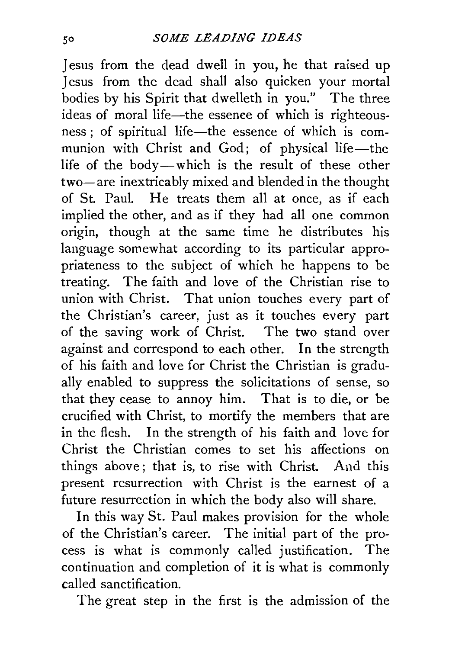Jesus from the dead dwell in you, he that raised up Jesus from the dead shall also quicken your mortal bodies by his Spirit that dwelleth in you." The three ideas of moral life-the essence of which is righteousness : of spiritual life-the essence of which is communion with Christ and God; of physical life-the life of the body-which is the result of these other two-are inextricably mixed and blended in the thought of St. Paul. He treats them all at once, as if each implied the other, and as if they had all one common origin, though at the same time he distributes his language somewhat according to its particular appropriateness to the subject of which he happens to be treating. The faith and love of the Christian rise to union with Christ. That union touches every part of the Christian's career, just as it touches every part of the saving work of Christ. The two stand over against and correspond to each other. In the strength of his faith and love for Christ the Christian is gradually enabled to suppress the solicitations of sense, so that they cease to annoy him. That is to die, or be crucified with Christ, to mortify the members that are in the flesh. In the strength of his faith and love for Christ the Christian comes to set his affections on things above; that is, to rise with Christ. And this present resurrection with Christ is the earnest of a future resurrection in which the body also will share.

In this way St. Paul makes provision for the whole of the Christian's career. The initial part of the process is what is commonly called justification. The continuation and completion of it is what is commonly called sanctification.

The great step in the first is the admission of the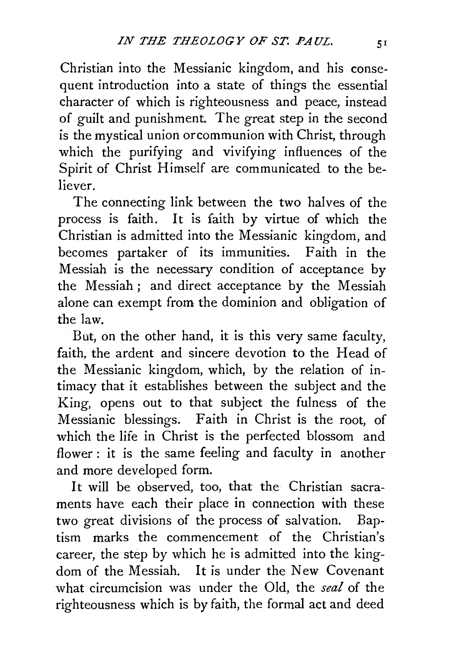Christian into the Messianic kingdom, and his consequent introduction into a state of things the essential character of which is righteousness and peace, instead of guilt and punishment. The great step in the second is the mystical union orcommunion with Christ, through which the purifying and vivifying influences of the Spirit of Christ Himself are communicated to the believer.

The connecting link between the two halves of the process is faith. It is faith by virtue of which the Christian is admitted into the Messianic kingdom, and becomes partaker of its immunities. Faith in the Messiah is the necessary condition of acceptance by the Messiah; and direct acceptance by the Messiah alone can exempt from the dominion and obligation of the law.

But, on the other hand, it is this very same faculty, faith, the ardent and sincere devotion to the Head of the Messianic kingdom, which, by the relation of intimacy that it establishes between the subject and the King, opens out to that subject the fulness of the Messianic blessings. Faith in Christ is the root, of which the life in Christ is the perfected blossom and flower : it is the same feeling and faculty in another and more developed form.

It will be observed, too, that the Christian sacraments have each their place in connection with these two great divisions of the process of salvation. Baptism marks the commencement of the Christian's career, the step by which he is admitted into the kingdom of the Messiah. It is under the New Covenant what circumcision was under the Old, the *seal* of the righteousness which is by faith, the formal act and deed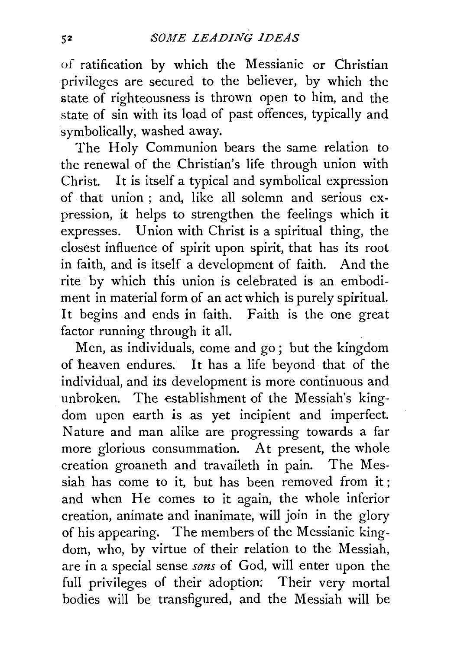of ratification by which the Messianic or Christian privileges are secured to the believer, by which the state of righteousness is thrown open to him, and the state of sin with its load of past offences, typically and symbolically, washed away.

The Holy Communion bears the same relation to the renewal of the Christian's life through union with Christ. It is itself a typical and symbolical expression of that union ; and. like all solemn and serious expression, it helps to strengthen the feelings which it expresses. Union with Christ is a spiritual thing, the closest influence of spirit upon spirit, that has its root in faith, and is itself a development of faith. And the rite by which this union is celebrated is an embodiment in material form of an act which is purely spiritual. It begins and ends in faith. Faith is the one great factor running through it all.

Men, as individuals, come and go ; but the kingdom of heaven endures. It has a life beyond that of the individual, and its development is more continuous and unbroken. The establishment of the Messiah's kingdom upon earth is as yet incipient and imperfect. Nature and man alike are progressing towards a far more glorious consummation. At present, the whole creation groaneth and travaileth in pain. The Messiah has come to it, but has been removed from it ; and when He comes to it again, the whole inferior creation, animate and inanimate, will join in the glory of his appearing. The members of the Messianic kingdom, who, by virtue of their relation to the Messiah, are in a special sense *sons* of God, will enter upon the full privileges of their adoption: Their very mortal bodies will be transfigured, and the Messiah will be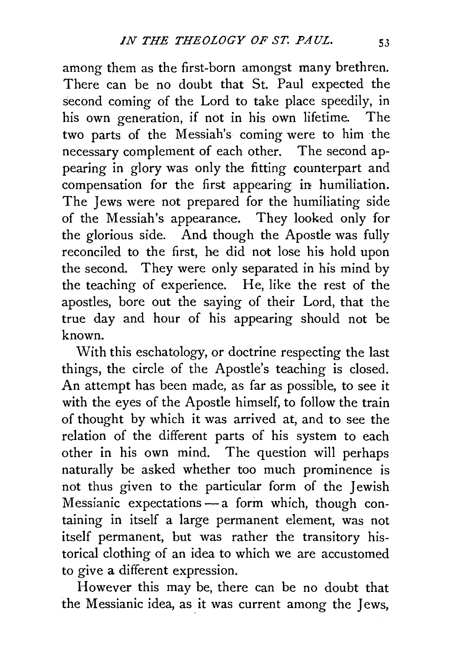among them as the first-born amongst many brethren. There can be no doubt that St. Paul expected the second coming of the Lord to take place speedily, in his own generation, if not in his own lifetime. The two parts of the Messiah's coming were to him the necessary complement of each other. The second appearing in glory was only the fitting counterpart and compensation for the first appearing in humiliation. The Jews were not prepared for the humiliating side of the Messiah's appearance. They looked only for the glorious side. And though the Apostle was fully reconciled to the first, he did not lose his hold upon the second. They were only separated in his mind by the teaching of experience. He, like the rest of the apostles, bore out the saying of their Lord, that the true day and hour of his appearing should not be known.

With this eschatology, or doctrine respecting the last things, the circle of the Apostle's teaching is closed. An attempt has been made, as far as possible, to see it with the eyes of the Apostle himself, to follow the train of thought by which it was arrived at, and to see the relation of the different parts of his system to each other in his own mind. The question will perhaps naturally be asked whether too much prominence is not thus given to the particular form of the Jewish Messianic expectations - a form which, though containing in itself a large permanent element, was not itself permanent, but was rather the transitory historical clothing of an idea to which we are accustomed to give a different expression.

However this may be, there can be no doubt that the Messianic idea, as it was current among the Jews,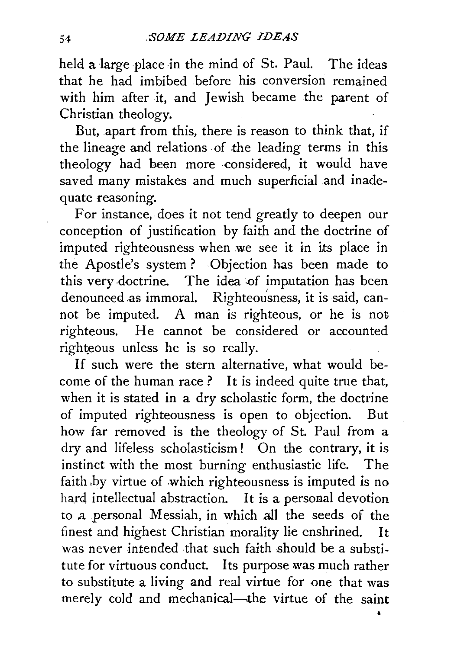held a large place in the mind of St. Paul. The ideas that he had imbibed .before his conversion remained with him after it, and Jewish became the parent of Christian theology.

But, apart from this, there is reason to think that, if the lineage and relations of the leading terms in this theology had been more considered, it would have saved many mistakes and much superficial and inadequate reasoning.

For instance, does it not tend greatly to deepen our conception of justification by faith and the doctrine of imputed righteousness when we see it in its place in the Apostle's system? Objection has been made to this very doctrine. The idea of imputation has been denounced as immoral. Righteousness, it is said, cannot be imputed. A man is righteous, or he is not righteous. He cannot be considered or accounted righteous unless he is so really.

If such were the stern alternative, what would become of the human race? It is indeed quite true that, when it is stated in a dry scholastic form, the doctrine of imputed righteousness is open to objection. But how far removed is the theology of St. Paul from a dry and lifeless scholasticism ! On the contrary, it is instinct with the most burning enthusiastic life. The faith by virtue of which righteousness is imputed is no hard intellectual abstraction. It is a personal devotion to .a personal Messiah, in which .all the seeds of the finest and highest Christian morality lie enshrined. It was never intended that such faith should be a substitute for virtuous conduct. Its purpose was much rather to substitute a living and real virtue for one that was merely cold and mechanical-the virtue of the saint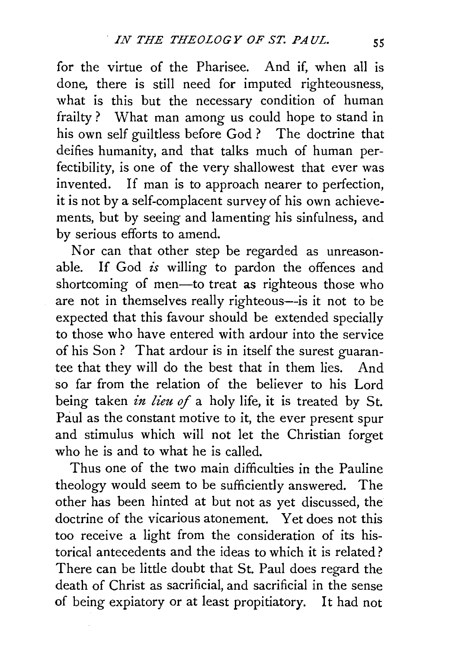for the virtue of the Pharisee. And if, when all is done, there is still need for imputed righteousness, what is this but the necessary condition of human frailty ? What man among us could hope to stand in his own self guiltless before God ? The doctrine that deifies humanity, and that talks much of human perfectibility, is one of the very shallowest that ever was invented. If man is to approach nearer to perfection, it is not by a self-complacent survey of his own achievements, but by seeing and lamenting his sinfulness, and by serious efforts to amend.

Nor can that other step be regarded as unreasonable. If God *is* willing to pardon the offences and shortcoming of men-to treat as righteous those who are not in themselves really righteous--is it not to be expected that this favour should be extended specially to those who have entered with ardour into the service of his Son? That ardour is in itself the surest guarantee that they will do the best that in them lies. And so far from the relation of the believer to his Lord being taken *in lieu of* a holy life, it is treated by St. Paul as the constant motive to it, the ever present spur and stimulus which will not let the Christian forget who he is and to what he is called.

Thus one of the two main difficulties in the Pauline theology would seem to be sufficiently answered. The other has been hinted at but not as yet discussed, the doctrine of the vicarious atonement. Yet does not this too receive a light from the consideration of its historical antecedents and the ideas to which it is related? There can be little doubt that St. Paul does regard the death of Christ as sacrificial, and sacrificial in the sense of being expiatory or at least propitiatory. It had not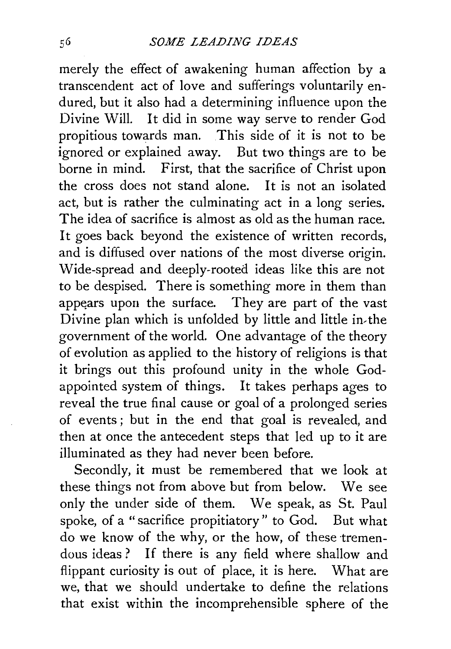merely the effect of awakening human affection by a transcendent act of love and sufferings voluntarily endured, but it also had a determining influence upon the Divine Will. It did in some way serve to render God propitious towards man. This side of it is not to be ignored or explained away. But two things are to be borne in mind. First, that the sacrifice of Christ upon the cross does not stand alone. It is not an isolated act, but is rather the culminating act in a long series. The idea of sacrifice is almost as old as the human race. It goes back beyond the existence of written records, and is diffused over nations of the most diverse origin. Wide-spread and deeply-rooted ideas like this are not to be despised. There is something more in them than appears upon the surface. They are part of the vast Divine plan which is unfolded by little and little in the government of the world. One advantage of the theory of evolution as applied to the history of religions is that it brings out this profound unity in the whole Godappointed system of things. It takes perhaps ages to reveal the true final cause or goal of a prolonged series of events; but in the end that goal is revealed, and then at once the antecedent steps that led up to it are illuminated as they had never been before.

Secondly, it must be remembered that we look at these things not from above but from below. We see only the under side of them. We speak, as St. Paul spoke, of a "sacrifice propitiatory" to God. But what do we know of the why, or the how, of these tremendous ideas ? If there is any field where shallow and flippant curiosity is out of place, it is here. What are we, that we should undertake to define the relations that exist within the incomprehensible sphere of the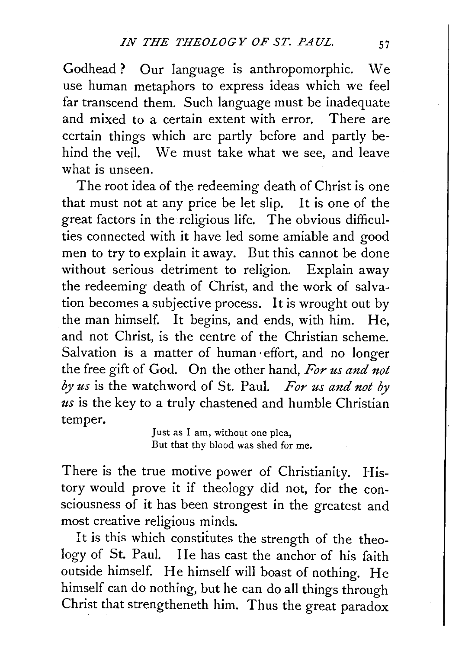Godhead ? Our language is anthropomorphic. We use human metaphors to express ideas which we feel far transcend them. Such language must be inadequate and mixed to a certain extent with error. There are certain things which are partly before and partly behind the veil. We must take what we see, and leave what is unseen.

The root idea of the redeeming death of Christ is one that must not at any price be let slip. It is one of the great factors in the religious life. The obvious difficulties connected with it have led some amiable and good men to try to explain it away. But this cannot be done without serious detriment to religion. Explain away the redeeming death of Christ, and the work of salvation becomes a subjective process. It is wrought out by the man himself. It begins, and ends, with him. He, and not Christ, is the centre of the Christian scheme. Salvation is a matter of human effort, and no longer the free gift of God. On the other hand, *For us and not by us* is the watchword of St. Paul. *For us and not by us* is the key to a truly chastened and humble Christian temper.

Just as I am, without one plea, But that thy blood was shed for me.

There is the true motive power of Christianity. History would prove it if theology did not, for the consciousness of it has been strongest in the greatest and most creative religious minds.

It is this which constitutes the strength of the theology of St. Paul. He has cast the anchor of his faith outside himself. He himself will boast of nothing. He himself can do nothing, but he can do all things through Christ that strengtheneth him. Thus the great paradox